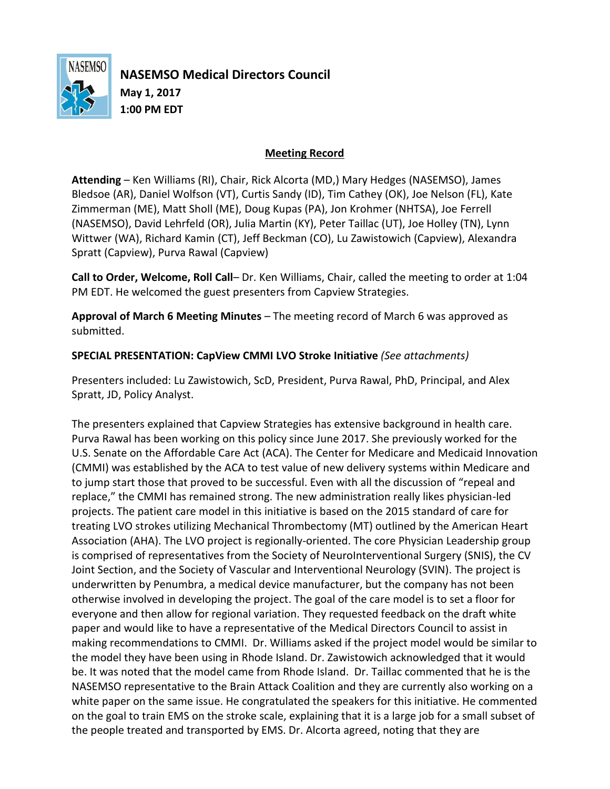

**NASEMSO Medical Directors Council May 1, 2017 1:00 PM EDT**

## **Meeting Record**

**Attending** – Ken Williams (RI), Chair, Rick Alcorta (MD,) Mary Hedges (NASEMSO), James Bledsoe (AR), Daniel Wolfson (VT), Curtis Sandy (ID), Tim Cathey (OK), Joe Nelson (FL), Kate Zimmerman (ME), Matt Sholl (ME), Doug Kupas (PA), Jon Krohmer (NHTSA), Joe Ferrell (NASEMSO), David Lehrfeld (OR), Julia Martin (KY), Peter Taillac (UT), Joe Holley (TN), Lynn Wittwer (WA), Richard Kamin (CT), Jeff Beckman (CO), Lu Zawistowich (Capview), Alexandra Spratt (Capview), Purva Rawal (Capview)

**Call to Order, Welcome, Roll Call**– Dr. Ken Williams, Chair, called the meeting to order at 1:04 PM EDT. He welcomed the guest presenters from Capview Strategies.

**Approval of March 6 Meeting Minutes** – The meeting record of March 6 was approved as submitted.

**SPECIAL PRESENTATION: CapView CMMI LVO Stroke Initiative** *(See attachments)*

Presenters included: Lu Zawistowich, ScD, President, Purva Rawal, PhD, Principal, and Alex Spratt, JD, Policy Analyst.

The presenters explained that Capview Strategies has extensive background in health care. Purva Rawal has been working on this policy since June 2017. She previously worked for the U.S. Senate on the Affordable Care Act (ACA). The Center for Medicare and Medicaid Innovation (CMMI) was established by the ACA to test value of new delivery systems within Medicare and to jump start those that proved to be successful. Even with all the discussion of "repeal and replace," the CMMI has remained strong. The new administration really likes physician-led projects. The patient care model in this initiative is based on the 2015 standard of care for treating LVO strokes utilizing Mechanical Thrombectomy (MT) outlined by the American Heart Association (AHA). The LVO project is regionally-oriented. The core Physician Leadership group is comprised of representatives from the Society of NeuroInterventional Surgery (SNIS), the CV Joint Section, and the Society of Vascular and Interventional Neurology (SVIN). The project is underwritten by Penumbra, a medical device manufacturer, but the company has not been otherwise involved in developing the project. The goal of the care model is to set a floor for everyone and then allow for regional variation. They requested feedback on the draft white paper and would like to have a representative of the Medical Directors Council to assist in making recommendations to CMMI. Dr. Williams asked if the project model would be similar to the model they have been using in Rhode Island. Dr. Zawistowich acknowledged that it would be. It was noted that the model came from Rhode Island. Dr. Taillac commented that he is the NASEMSO representative to the Brain Attack Coalition and they are currently also working on a white paper on the same issue. He congratulated the speakers for this initiative. He commented on the goal to train EMS on the stroke scale, explaining that it is a large job for a small subset of the people treated and transported by EMS. Dr. Alcorta agreed, noting that they are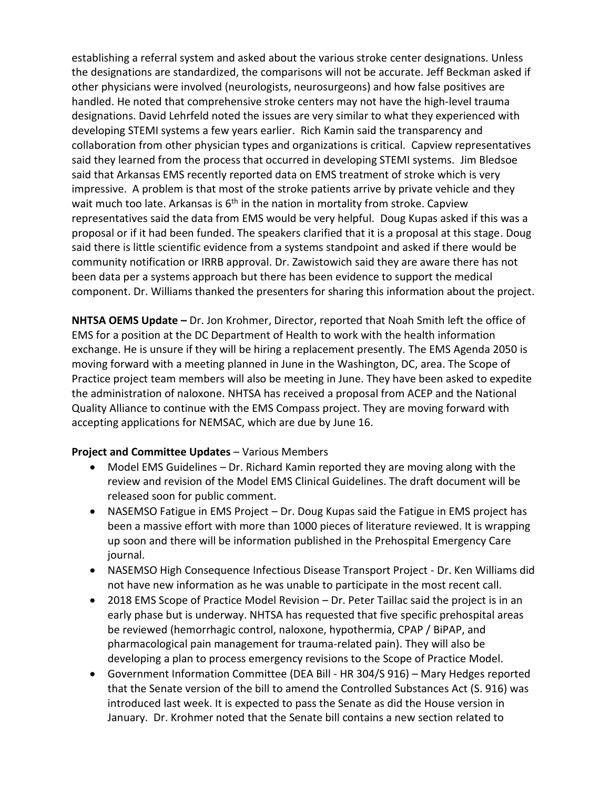establishing a referral system and asked about the various stroke center designations. Unless the designations are standardized, the comparisons will not be accurate. Jeff Beckman asked if other physicians were involved (neurologists, neurosurgeons) and how false positives are handled. He noted that comprehensive stroke centers may not have the high-level trauma designations. David Lehrfeld noted the issues are very similar to what they experienced with developing STEMI systems a few years earlier. Rich Kamin said the transparency and collaboration from other physician types and organizations is critical. Capview representatives said they learned from the process that occurred in developing STEMI systems. Jim Bledsoe said that Arkansas EMS recently reported data on EMS treatment of stroke which is very impressive. A problem is that most of the stroke patients arrive by private vehicle and they wait much too late. Arkansas is  $6<sup>th</sup>$  in the nation in mortality from stroke. Capview representatives said the data from EMS would be very helpful. Doug Kupas asked if this was a proposal or if it had been funded. The speakers clarified that it is a proposal at this stage. Doug said there is little scientific evidence from a systems standpoint and asked if there would be community notification or IRRB approval. Dr. Zawistowich said they are aware there has not been data per a systems approach but there has been evidence to support the medical component. Dr. Williams thanked the presenters for sharing this information about the project.

**NHTSA OEMS Update –** Dr. Jon Krohmer, Director, reported that Noah Smith left the office of EMS for a position at the DC Department of Health to work with the health information exchange. He is unsure if they will be hiring a replacement presently. The EMS Agenda 2050 is moving forward with a meeting planned in June in the Washington, DC, area. The Scope of Practice project team members will also be meeting in June. They have been asked to expedite the administration of naloxone. NHTSA has received a proposal from ACEP and the National Quality Alliance to continue with the EMS Compass project. They are moving forward with accepting applications for NEMSAC, which are due by June 16.

## **Project and Committee Updates** – Various Members

- Model EMS Guidelines Dr. Richard Kamin reported they are moving along with the review and revision of the Model EMS Clinical Guidelines. The draft document will be released soon for public comment.
- NASEMSO Fatigue in EMS Project Dr. Doug Kupas said the Fatigue in EMS project has been a massive effort with more than 1000 pieces of literature reviewed. It is wrapping up soon and there will be information published in the Prehospital Emergency Care journal.
- NASEMSO High Consequence Infectious Disease Transport Project Dr. Ken Williams did not have new information as he was unable to participate in the most recent call.
- 2018 EMS Scope of Practice Model Revision Dr. Peter Taillac said the project is in an early phase but is underway. NHTSA has requested that five specific prehospital areas be reviewed (hemorrhagic control, naloxone, hypothermia, CPAP / BiPAP, and pharmacological pain management for trauma-related pain). They will also be developing a plan to process emergency revisions to the Scope of Practice Model.
- Government Information Committee (DEA Bill HR 304/S 916) Mary Hedges reported that the Senate version of the bill to amend the Controlled Substances Act (S. 916) was introduced last week. It is expected to pass the Senate as did the House version in January. Dr. Krohmer noted that the Senate bill contains a new section related to